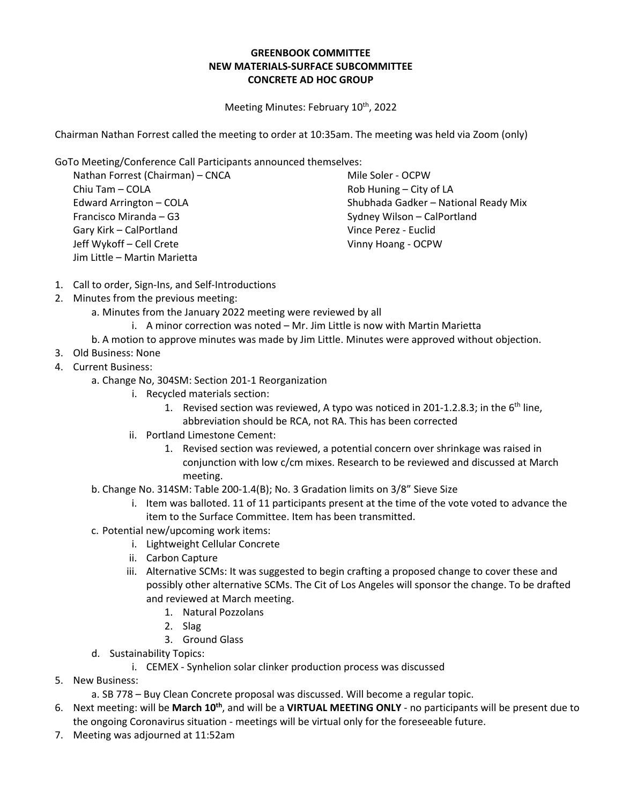## **GREENBOOK COMMITTEE NEW MATERIALS-SURFACE SUBCOMMITTEE CONCRETE AD HOC GROUP**

Meeting Minutes: February 10<sup>th</sup>, 2022

Chairman Nathan Forrest called the meeting to order at 10:35am. The meeting was held via Zoom (only)

GoTo Meeting/Conference Call Participants announced themselves:

Nathan Forrest (Chairman) – CNCA Chiu Tam – COLA Edward Arrington – COLA Francisco Miranda – G3 Gary Kirk – CalPortland Jeff Wykoff – Cell Crete Jim Little – Martin Marietta

Mile Soler - OCPW Rob Huning – City of LA Shubhada Gadker – National Ready Mix Sydney Wilson – CalPortland Vince Perez - Euclid Vinny Hoang - OCPW

- 1. Call to order, Sign-Ins, and Self-Introductions
- 2. Minutes from the previous meeting:
	- a. Minutes from the January 2022 meeting were reviewed by all
		- i. A minor correction was noted Mr. Jim Little is now with Martin Marietta
	- b. A motion to approve minutes was made by Jim Little. Minutes were approved without objection.
- 3. Old Business: None
- 4. Current Business:
	- a. Change No, 304SM: Section 201-1 Reorganization
		- i. Recycled materials section:
			- 1. Revised section was reviewed, A typo was noticed in 201-1.2.8.3; in the  $6<sup>th</sup>$  line, abbreviation should be RCA, not RA. This has been corrected
		- ii. Portland Limestone Cement:
			- 1. Revised section was reviewed, a potential concern over shrinkage was raised in conjunction with low c/cm mixes. Research to be reviewed and discussed at March meeting.
	- b. Change No. 314SM: Table 200-1.4(B); No. 3 Gradation limits on 3/8" Sieve Size
		- i. Item was balloted. 11 of 11 participants present at the time of the vote voted to advance the item to the Surface Committee. Item has been transmitted.
	- c. Potential new/upcoming work items:
		- i. Lightweight Cellular Concrete
		- ii. Carbon Capture
		- iii. Alternative SCMs: It was suggested to begin crafting a proposed change to cover these and possibly other alternative SCMs. The Cit of Los Angeles will sponsor the change. To be drafted and reviewed at March meeting.
			- 1. Natural Pozzolans
			- 2. Slag
			- 3. Ground Glass
	- d. Sustainability Topics:
		- i. CEMEX Synhelion solar clinker production process was discussed
- 5. New Business:
	- a. SB 778 Buy Clean Concrete proposal was discussed. Will become a regular topic.
- 6. Next meeting: will be **March 10th**, and will be a **VIRTUAL MEETING ONLY** no participants will be present due to the ongoing Coronavirus situation - meetings will be virtual only for the foreseeable future.
- 7. Meeting was adjourned at 11:52am